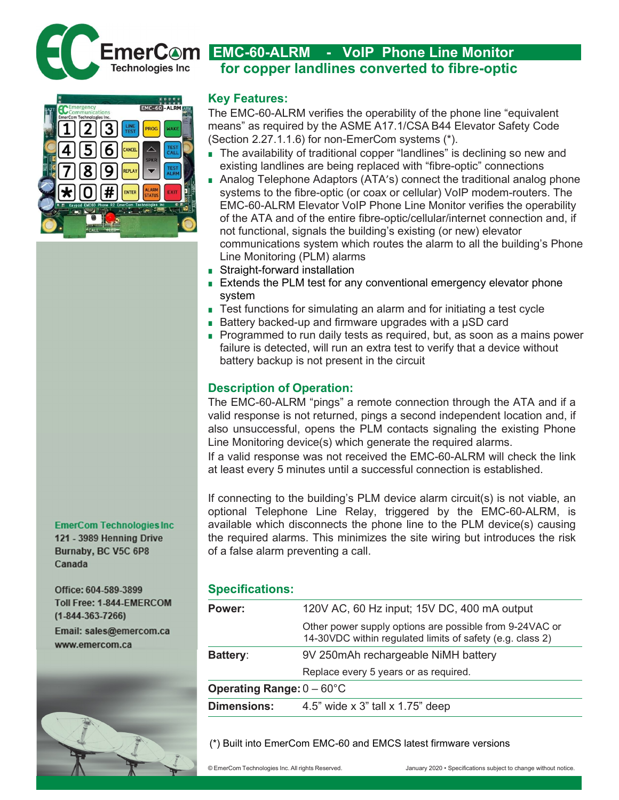

**EmerCom Technologies Inc.** 121 - 3989 Henning Drive Burnaby, BC V5C 6P8 Canada

Office: 604-589-3899 Toll Free: 1-844-EMERCOM  $(1 - 844 - 363 - 7266)$ Email: sales@emercom.ca www.emercom.ca



## Key Features:

The EMC-60-ALRM verifies the operability of the phone line "equivalent means" as required by the ASME A17.1/CSA B44 Elevator Safety Code (Section 2.27.1.1.6) for non-EmerCom systems (\*).

for copper landlines converted to fibre-optic

- The availability of traditional copper "landlines" is declining so new and existing landlines are being replaced with "fibre-optic" connections
- Analog Telephone Adaptors (ATA's) connect the traditional analog phone systems to the fibre-optic (or coax or cellular) VoIP modem-routers. The EMC-60-ALRM Elevator VoIP Phone Line Monitor verifies the operability of the ATA and of the entire fibre-optic/cellular/internet connection and, if not functional, signals the building's existing (or new) elevator communications system which routes the alarm to all the building's Phone Line Monitoring (PLM) alarms
- Straight-forward installation
- Extends the PLM test for any conventional emergency elevator phone system
- Test functions for simulating an alarm and for initiating a test cycle
- Battery backed-up and firmware upgrades with a µSD card
- Programmed to run daily tests as required, but, as soon as a mains power failure is detected, will run an extra test to verify that a device without battery backup is not present in the circuit

# Description of Operation:

The EMC-60-ALRM "pings" a remote connection through the ATA and if a valid response is not returned, pings a second independent location and, if also unsuccessful, opens the PLM contacts signaling the existing Phone Line Monitoring device(s) which generate the required alarms.

If a valid response was not received the EMC-60-ALRM will check the link at least every 5 minutes until a successful connection is established.

If connecting to the building's PLM device alarm circuit(s) is not viable, an optional Telephone Line Relay, triggered by the EMC-60-ALRM, is available which disconnects the phone line to the PLM device(s) causing the required alarms. This minimizes the site wiring but introduces the risk of a false alarm preventing a call.

## Specifications:

| Power:                              | 120V AC, 60 Hz input; 15V DC, 400 mA output                                                                          |
|-------------------------------------|----------------------------------------------------------------------------------------------------------------------|
|                                     | Other power supply options are possible from 9-24VAC or<br>14-30VDC within regulated limits of safety (e.g. class 2) |
| Battery:                            | 9V 250mAh rechargeable NiMH battery                                                                                  |
|                                     | Replace every 5 years or as required.                                                                                |
| Operating Range: $0 - 60^{\circ}$ C |                                                                                                                      |
| <b>Dimensions:</b>                  | 4.5" wide x 3" tall x 1.75" deep                                                                                     |

(\*) Built into EmerCom EMC-60 and EMCS latest firmware versions